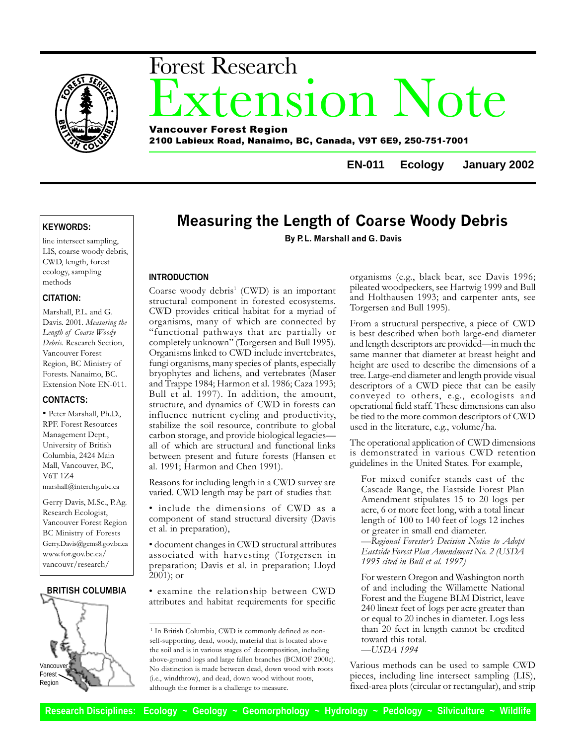

# xtension Note Forest Research Vancouver Forest Region

2100 Labieux Road, Nanaimo, BC, Canada, V9T 6E9, 250-751-7001

**EN-011 Ecology January 2002**

# **KEYWORDS:**

line intersect sampling, LIS, coarse woody debris, CWD, length, forest ecology, sampling methods

# **CITATION:**

Marshall, P.L. and G. Davis. 2001. Measuring the Length of Coarse Woody Debris. Research Section, Vancouver Forest Region, BC Ministry of Forests. Nanaimo, BC. Extension Note EN-011.

# **CONTACTS:**

 Peter Marshall, Ph.D., RPF. Forest Resources Management Dept., University of British Columbia, 2424 Main Mall, Vancouver, BC, V6T 1Z4 marshall@interchg.ubc.ca

Gerry Davis, M.Sc., P.Ag. Research Ecologist, Vancouver Forest Region BC Ministry of Forests Gerry.Davis@gems8.gov.bc.ca www.for.gov.bc.ca/ vancouvr/research/

# **BRITISH COLUMBIA**



# Measuring the Length of Coarse Woody Debris

By P.L. Marshall and G. Davis

## **INTRODUCTION**

Coarse woody debris<sup>1</sup> (CWD) is an important structural component in forested ecosystems. CWD provides critical habitat for a myriad of organisms, many of which are connected by functional pathways that are partially or completely unknown" (Torgersen and Bull 1995). Organisms linked to CWD include invertebrates, fungi organisms, many species of plants, especially bryophytes and lichens, and vertebrates (Maser and Trappe 1984; Harmon et al. 1986; Caza 1993; Bull et al. 1997). In addition, the amount, structure, and dynamics of CWD in forests can influence nutrient cycling and productivity, stabilize the soil resource, contribute to global carbon storage, and provide biological legacies all of which are structural and functional links between present and future forests (Hansen et al. 1991; Harmon and Chen 1991).

Reasons for including length in a CWD survey are varied. CWD length may be part of studies that:

• include the dimensions of CWD as a component of stand structural diversity (Davis et al. in preparation),

 document changes in CWD structural attributes associated with harvesting (Torgersen in preparation; Davis et al. in preparation; Lloyd 2001); or

 examine the relationship between CWD attributes and habitat requirements for specific organisms (e.g., black bear, see Davis 1996; pileated woodpeckers, see Hartwig 1999 and Bull and Holthausen 1993; and carpenter ants, see Torgersen and Bull 1995).

From a structural perspective, a piece of CWD is best described when both large-end diameter and length descriptors are provided—in much the same manner that diameter at breast height and height are used to describe the dimensions of a tree. Large-end diameter and length provide visual descriptors of a CWD piece that can be easily conveyed to others, e.g., ecologists and operational field staff. These dimensions can also be tied to the more common descriptors of CWD used in the literature, e.g., volume/ha.

The operational application of CWD dimensions is demonstrated in various CWD retention guidelines in the United States. For example,

For mixed conifer stands east of the Cascade Range, the Eastside Forest Plan Amendment stipulates 15 to 20 logs per acre, 6 or more feet long, with a total linear length of 100 to 140 feet of logs 12 inches or greater in small end diameter.

— Regional Forester's Decision Notice to Adopt Eastside Forest Plan Amendment No. 2 (USDA 1995 cited in Bull et al. 1997)

For western Oregon and Washington north of and including the Willamette National Forest and the Eugene BLM District, leave 240 linear feet of logs per acre greater than or equal to 20 inches in diameter. Logs less than 20 feet in length cannot be credited toward this total.  $-IJSDA$  1994

Various methods can be used to sample CWD pieces, including line intersect sampling (LIS), fixed-area plots (circular or rectangular), and strip

<sup>&</sup>lt;sup>1</sup> In British Columbia, CWD is commonly defined as nonself-supporting, dead, woody, material that is located above the soil and is in various stages of decomposition, including above-ground logs and large fallen branches (BCMOF 2000c). No distinction is made between dead, down wood with roots (i.e., windthrow), and dead, down wood without roots, although the former is a challenge to measure.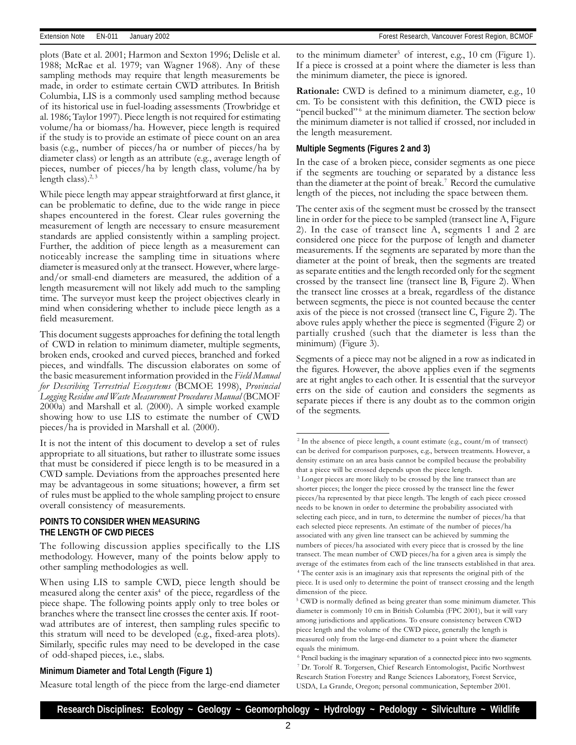plots (Bate et al. 2001; Harmon and Sexton 1996; Delisle et al. 1988; McRae et al. 1979; van Wagner 1968). Any of these sampling methods may require that length measurements be made, in order to estimate certain CWD attributes. In British Columbia, LIS is a commonly used sampling method because of its historical use in fuel-loading assessments (Trowbridge et al. 1986; Taylor 1997). Piece length is not required for estimating volume/ha or biomass/ha. However, piece length is required if the study is to provide an estimate of piece count on an area basis (e.g., number of pieces/ha or number of pieces/ha by diameter class) or length as an attribute (e.g., average length of pieces, number of pieces/ha by length class, volume/ha by length class). $2,3$ 

While piece length may appear straightforward at first glance, it can be problematic to define, due to the wide range in piece shapes encountered in the forest. Clear rules governing the measurement of length are necessary to ensure measurement standards are applied consistently within a sampling project. Further, the addition of piece length as a measurement can noticeably increase the sampling time in situations where diameter is measured only at the transect. However, where largeand/or small-end diameters are measured, the addition of a length measurement will not likely add much to the sampling time. The surveyor must keep the project objectives clearly in mind when considering whether to include piece length as a field measurement.

This document suggests approaches for defining the total length of CWD in relation to minimum diameter, multiple segments, broken ends, crooked and curved pieces, branched and forked pieces, and windfalls. The discussion elaborates on some of the basic measurement information provided in the Field Manual for Describing Terrestrial Ecosystems (BCMOE 1998), Provincial Logging Residue and Waste Measurement Procedures Manual (BCMOF 2000a) and Marshall et al. (2000). A simple worked example showing how to use LIS to estimate the number of CWD pieces/ha is provided in Marshall et al. (2000).

It is not the intent of this document to develop a set of rules appropriate to all situations, but rather to illustrate some issues that must be considered if piece length is to be measured in a CWD sample. Deviations from the approaches presented here may be advantageous in some situations; however, a firm set of rules must be applied to the whole sampling project to ensure overall consistency of measurements.

### **POINTS TO CONSIDER WHEN MEASURING THE LENGTH OF CWD PIECES**

The following discussion applies specifically to the LIS methodology. However, many of the points below apply to other sampling methodologies as well.

When using LIS to sample CWD, piece length should be measured along the center  $axis<sup>4</sup>$  of the piece, regardless of the piece shape. The following points apply only to tree boles or branches where the transect line crosses the center axis. If rootwad attributes are of interest, then sampling rules specific to this stratum will need to be developed (e.g., fixed-area plots). Similarly, specific rules may need to be developed in the case of odd-shaped pieces, i.e., slabs.

to the minimum diameter<sup>5</sup> of interest, e.g., 10 cm (Figure 1). If a piece is crossed at a point where the diameter is less than the minimum diameter, the piece is ignored.

Rationale: CWD is defined to a minimum diameter, e.g., 10 cm. To be consistent with this definition, the CWD piece is "pencil bucked"<sup>6</sup> at the minimum diameter. The section below the minimum diameter is not tallied if crossed, nor included in the length measurement.

#### **Multiple Segments (Figures 2 and 3)**

In the case of a broken piece, consider segments as one piece if the segments are touching or separated by a distance less than the diameter at the point of break.<sup>7</sup> Record the cumulative length of the pieces, not including the space between them.

The center axis of the segment must be crossed by the transect line in order for the piece to be sampled (transect line A, Figure 2). In the case of transect line A, segments 1 and 2 are considered one piece for the purpose of length and diameter measurements. If the segments are separated by more than the diameter at the point of break, then the segments are treated as separate entities and the length recorded only for the segment crossed by the transect line (transect line B, Figure 2). When the transect line crosses at a break, regardless of the distance between segments, the piece is not counted because the center axis of the piece is not crossed (transect line C, Figure 2). The above rules apply whether the piece is segmented (Figure 2) or partially crushed (such that the diameter is less than the minimum) (Figure 3).

Segments of a piece may not be aligned in a row as indicated in the figures. However, the above applies even if the segments are at right angles to each other. It is essential that the surveyor errs on the side of caution and considers the segments as separate pieces if there is any doubt as to the common origin of the segments.

#### **Minimum Diameter and Total Length (Figure 1)**

Measure total length of the piece from the large-end diameter

<sup>&</sup>lt;sup>2</sup> In the absence of piece length, a count estimate (e.g., count/m of transect) can be derived for comparison purposes, e.g., between treatments. However, a density estimate on an area basis cannot be compiled because the probability that a piece will be crossed depends upon the piece length.

<sup>&</sup>lt;sup>3</sup> Longer pieces are more likely to be crossed by the line transect than are shorter pieces; the longer the piece crossed by the transect line the fewer pieces/ha represented by that piece length. The length of each piece crossed needs to be known in order to determine the probability associated with selecting each piece, and in turn, to determine the number of pieces/ha that each selected piece represents. An estimate of the number of pieces/ha associated with any given line transect can be achieved by summing the numbers of pieces/ha associated with every piece that is crossed by the line transect. The mean number of CWD pieces/ha for a given area is simply the average of the estimates from each of the line transects established in that area. 4 The center axis is an imaginary axis that represents the original pith of the piece. It is used only to determine the point of transect crossing and the length dimension of the piece.

<sup>&</sup>lt;sup>5</sup> CWD is normally defined as being greater than some minimum diameter. This diameter is commonly 10 cm in British Columbia (FPC 2001), but it will vary among jurisdictions and applications. To ensure consistency between CWD piece length and the volume of the CWD piece, generally the length is measured only from the large-end diameter to a point where the diameter equals the minimum.

<sup>&</sup>lt;sup>6</sup> Pencil bucking is the imaginary separation of a connected piece into two segments. 7 Dr. Torolf R. Torgersen, Chief Research Entomologist, Pacific Northwest Research Station Forestry and Range Sciences Laboratory, Forest Service, USDA, La Grande, Oregon; personal communication, September 2001.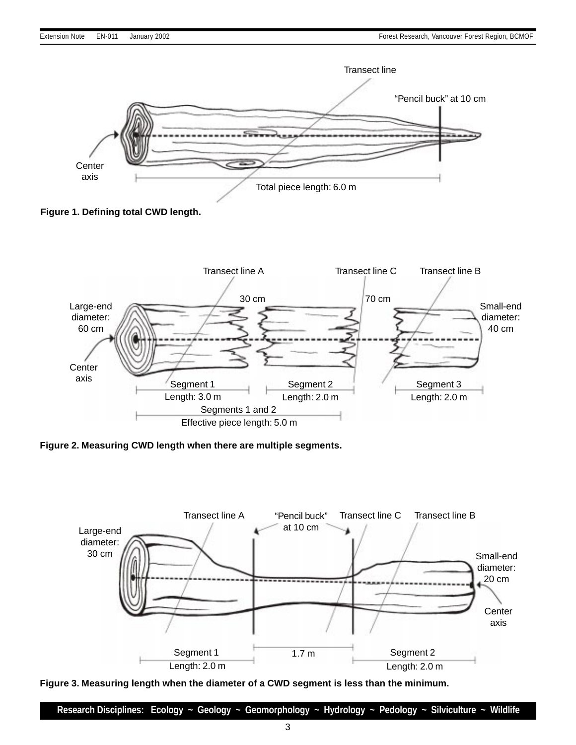

**Figure 1. Defining total CWD length.**



**Figure 2. Measuring CWD length when there are multiple segments.**



**Figure 3. Measuring length when the diameter of a CWD segment is less than the minimum.**

**Research Disciplines: Ecology ~ Geology ~ Geomorphology ~ Hydrology ~ Pedology ~ Silviculture ~ Wildlife**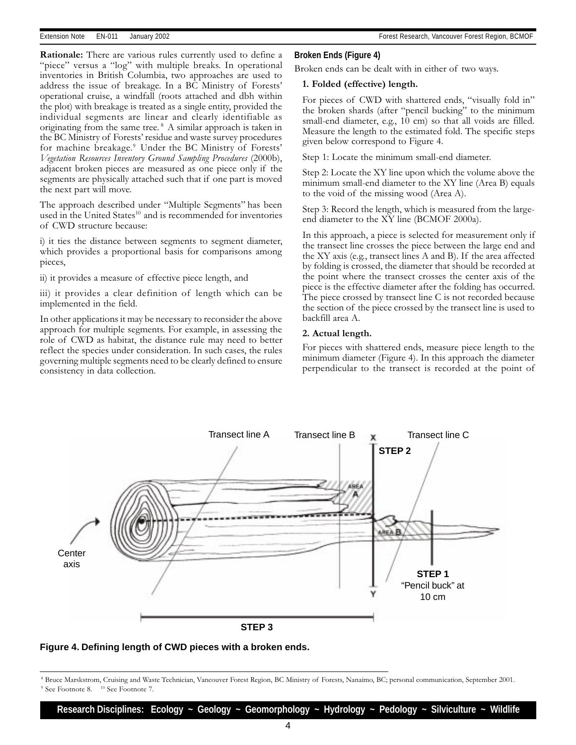Rationale: There are various rules currently used to define a "piece" versus a "log" with multiple breaks. In operational inventories in British Columbia, two approaches are used to address the issue of breakage. In a BC Ministry of Forests operational cruise, a windfall (roots attached and dbh within the plot) with breakage is treated as a single entity, provided the individual segments are linear and clearly identifiable as originating from the same tree. 8 A similar approach is taken in the BC Ministry of Forests' residue and waste survey procedures for machine breakage.<sup>9</sup> Under the BC Ministry of Forests' Vegetation Resources Inventory Ground Sampling Procedures (2000b), adjacent broken pieces are measured as one piece only if the segments are physically attached such that if one part is moved the next part will move.

The approach described under "Multiple Segments" has been used in the United States<sup>10</sup> and is recommended for inventories of CWD structure because:

i) it ties the distance between segments to segment diameter, which provides a proportional basis for comparisons among pieces,

ii) it provides a measure of effective piece length, and

iii) it provides a clear definition of length which can be implemented in the field.

In other applications it may be necessary to reconsider the above approach for multiple segments. For example, in assessing the role of CWD as habitat, the distance rule may need to better reflect the species under consideration. In such cases, the rules governing multiple segments need to be clearly defined to ensure consistency in data collection.

#### **Broken Ends (Figure 4)**

Broken ends can be dealt with in either of two ways.

#### 1. Folded (effective) length.

For pieces of CWD with shattered ends, "visually fold in" the broken shards (after "pencil bucking" to the minimum small-end diameter, e.g., 10 cm) so that all voids are filled. Measure the length to the estimated fold. The specific steps given below correspond to Figure 4.

Step 1: Locate the minimum small-end diameter.

Step 2: Locate the XY line upon which the volume above the minimum small-end diameter to the XY line (Area B) equals to the void of the missing wood (Area A).

Step 3: Record the length, which is measured from the largeend diameter to the XY line (BCMOF 2000a).

In this approach, a piece is selected for measurement only if the transect line crosses the piece between the large end and the XY axis (e.g., transect lines A and B). If the area affected by folding is crossed, the diameter that should be recorded at the point where the transect crosses the center axis of the piece is the effective diameter after the folding has occurred. The piece crossed by transect line C is not recorded because the section of the piece crossed by the transect line is used to backfill area A.

#### 2. Actual length.

For pieces with shattered ends, measure piece length to the minimum diameter (Figure 4). In this approach the diameter perpendicular to the transect is recorded at the point of





 $^8$  Bruce Marskstrom, Cruising and Waste Technician, Vancouver Forest Region, BC Ministry of Forests, Nanaimo, BC; personal communication, September 2001. <sup>9</sup> See Footnote 8. <sup>10</sup> See Footnote 7.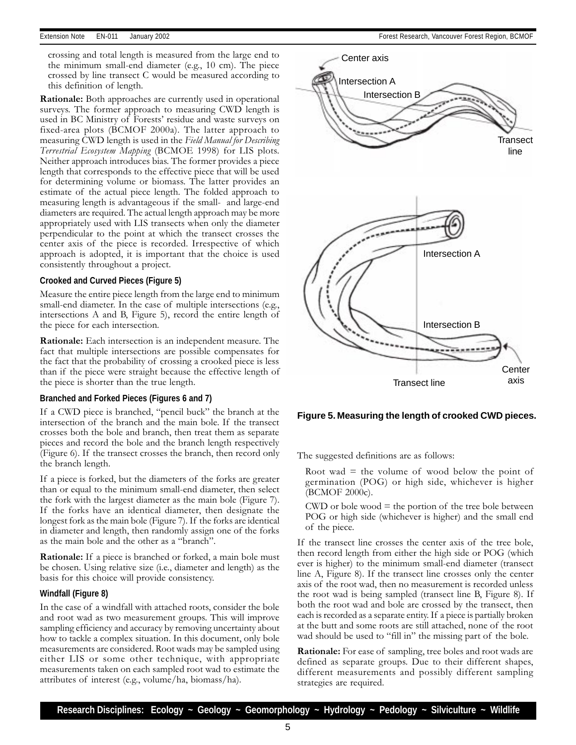crossing and total length is measured from the large end to the minimum small-end diameter (e.g., 10 cm). The piece crossed by line transect C would be measured according to this definition of length.

Rationale: Both approaches are currently used in operational surveys. The former approach to measuring CWD length is used in BC Ministry of Forests' residue and waste surveys on fixed-area plots (BCMOF 2000a). The latter approach to measuring CWD length is used in the Field Manual for Describing Terrestrial Ecosystem Mapping (BCMOE 1998) for LIS plots. Neither approach introduces bias. The former provides a piece length that corresponds to the effective piece that will be used for determining volume or biomass. The latter provides an estimate of the actual piece length. The folded approach to measuring length is advantageous if the small- and large-end diameters are required. The actual length approach may be more appropriately used with LIS transects when only the diameter perpendicular to the point at which the transect crosses the center axis of the piece is recorded. Irrespective of which approach is adopted, it is important that the choice is used consistently throughout a project.

#### **Crooked and Curved Pieces (Figure 5)**

Measure the entire piece length from the large end to minimum small-end diameter. In the case of multiple intersections (e.g., intersections A and B, Figure 5), record the entire length of the piece for each intersection.

Rationale: Each intersection is an independent measure. The fact that multiple intersections are possible compensates for the fact that the probability of crossing a crooked piece is less than if the piece were straight because the effective length of the piece is shorter than the true length.

#### **Branched and Forked Pieces (Figures 6 and 7)**

If a CWD piece is branched, "pencil buck" the branch at the intersection of the branch and the main bole. If the transect crosses both the bole and branch, then treat them as separate pieces and record the bole and the branch length respectively (Figure 6). If the transect crosses the branch, then record only the branch length.

If a piece is forked, but the diameters of the forks are greater than or equal to the minimum small-end diameter, then select the fork with the largest diameter as the main bole (Figure 7). If the forks have an identical diameter, then designate the longest fork as the main bole (Figure 7). If the forks are identical in diameter and length, then randomly assign one of the forks as the main bole and the other as a "branch".

Rationale: If a piece is branched or forked, a main bole must be chosen. Using relative size (i.e., diameter and length) as the basis for this choice will provide consistency.

#### **Windfall (Figure 8)**

In the case of a windfall with attached roots, consider the bole and root wad as two measurement groups. This will improve sampling efficiency and accuracy by removing uncertainty about how to tackle a complex situation. In this document, only bole measurements are considered. Root wads may be sampled using either LIS or some other technique, with appropriate measurements taken on each sampled root wad to estimate the attributes of interest (e.g., volume/ha, biomass/ha).



#### **Figure 5. Measuring the length of crooked CWD pieces.**

The suggested definitions are as follows:

Root wad  $=$  the volume of wood below the point of germination (POG) or high side, whichever is higher (BCMOF 2000c).

 $CWD$  or bole wood  $=$  the portion of the tree bole between POG or high side (whichever is higher) and the small end of the piece.

If the transect line crosses the center axis of the tree bole, then record length from either the high side or POG (which ever is higher) to the minimum small-end diameter (transect line A, Figure 8). If the transect line crosses only the center axis of the root wad, then no measurement is recorded unless the root wad is being sampled (transect line B, Figure 8). If both the root wad and bole are crossed by the transect, then each is recorded as a separate entity. If a piece is partially broken at the butt and some roots are still attached, none of the root wad should be used to "fill in" the missing part of the bole.

Rationale: For ease of sampling, tree boles and root wads are defined as separate groups. Due to their different shapes, different measurements and possibly different sampling strategies are required.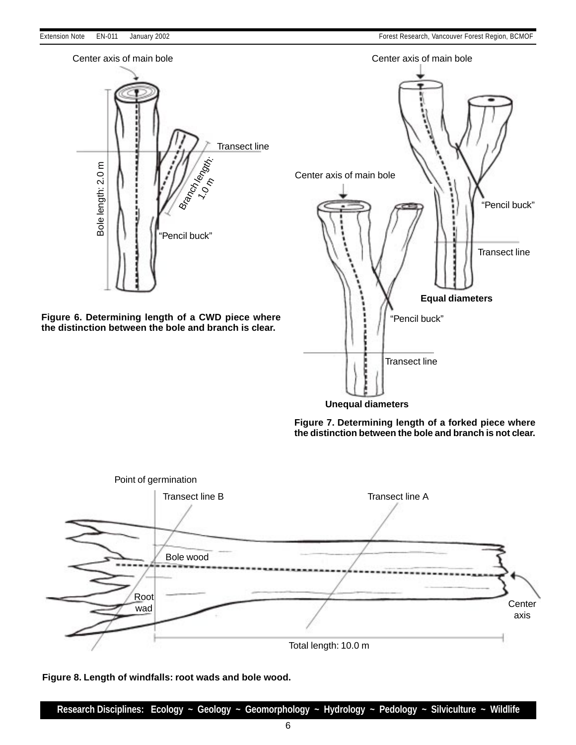





**Figure 8. Length of windfalls: root wads and bole wood.**

**Research Disciplines: Ecology ~ Geology ~ Geomorphology ~ Hydrology ~ Pedology ~ Silviculture ~ Wildlife**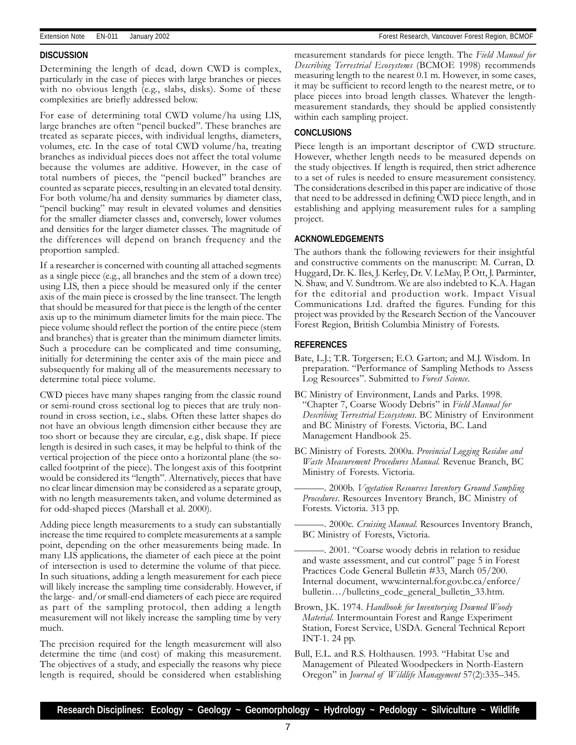#### **DISCUSSION**

Determining the length of dead, down CWD is complex, particularly in the case of pieces with large branches or pieces with no obvious length (e.g., slabs, disks). Some of these complexities are briefly addressed below.

For ease of determining total CWD volume/ha using LIS, large branches are often "pencil bucked". These branches are treated as separate pieces, with individual lengths, diameters, volumes, etc. In the case of total CWD volume/ha, treating branches as individual pieces does not affect the total volume because the volumes are additive. However, in the case of total numbers of pieces, the "pencil bucked" branches are counted as separate pieces, resulting in an elevated total density. For both volume/ha and density summaries by diameter class, "pencil bucking" may result in elevated volumes and densities for the smaller diameter classes and, conversely, lower volumes and densities for the larger diameter classes. The magnitude of the differences will depend on branch frequency and the proportion sampled.

If a researcher is concerned with counting all attached segments as a single piece (e.g., all branches and the stem of a down tree) using LIS, then a piece should be measured only if the center axis of the main piece is crossed by the line transect. The length that should be measured for that piece is the length of the center axis up to the minimum diameter limits for the main piece. The piece volume should reflect the portion of the entire piece (stem and branches) that is greater than the minimum diameter limits. Such a procedure can be complicated and time consuming, initially for determining the center axis of the main piece and subsequently for making all of the measurements necessary to determine total piece volume.

CWD pieces have many shapes ranging from the classic round or semi-round cross sectional log to pieces that are truly nonround in cross section, i.e., slabs. Often these latter shapes do not have an obvious length dimension either because they are too short or because they are circular, e.g., disk shape. If piece length is desired in such cases, it may be helpful to think of the vertical projection of the piece onto a horizontal plane (the socalled footprint of the piece). The longest axis of this footprint would be considered its "length". Alternatively, pieces that have no clear linear dimension may be considered as a separate group, with no length measurements taken, and volume determined as for odd-shaped pieces (Marshall et al. 2000).

Adding piece length measurements to a study can substantially increase the time required to complete measurements at a sample point, depending on the other measurements being made. In many LIS applications, the diameter of each piece at the point of intersection is used to determine the volume of that piece. In such situations, adding a length measurement for each piece will likely increase the sampling time considerably. However, if the large- and/or small-end diameters of each piece are required as part of the sampling protocol, then adding a length measurement will not likely increase the sampling time by very much.

The precision required for the length measurement will also determine the time (and cost) of making this measurement. The objectives of a study, and especially the reasons why piece length is required, should be considered when establishing measurement standards for piece length. The Field Manual for Describing Terrestrial Ecosystems (BCMOE 1998) recommends measuring length to the nearest 0.1 m. However, in some cases, it may be sufficient to record length to the nearest metre, or to place pieces into broad length classes. Whatever the lengthmeasurement standards, they should be applied consistently within each sampling project.

#### **CONCLUSIONS**

Piece length is an important descriptor of CWD structure. However, whether length needs to be measured depends on the study objectives. If length is required, then strict adherence to a set of rules is needed to ensure measurement consistency. The considerations described in this paper are indicative of those that need to be addressed in defining CWD piece length, and in establishing and applying measurement rules for a sampling project.

#### **ACKNOWLEDGEMENTS**

The authors thank the following reviewers for their insightful and constructive comments on the manuscript: M. Curran, D. Huggard, Dr. K. Iles, J. Kerley, Dr. V. LeMay, P. Ott, J. Parminter, N. Shaw, and V. Sundtrom. We are also indebted to K.A. Hagan for the editorial and production work. Impact Visual Communications Ltd. drafted the figures. Funding for this project was provided by the Research Section of the Vancouver Forest Region, British Columbia Ministry of Forests.

#### **REFERENCES**

- Bate, L.J.; T.R. Torgersen; E.O. Garton; and M.J. Wisdom. In preparation. "Performance of Sampling Methods to Assess Log Resources". Submitted to Forest Science.
- BC Ministry of Environment, Lands and Parks. 1998. "Chapter 7, Coarse Woody Debris" in Field Manual for Describing Terrestrial Ecosystems. BC Ministry of Environment and BC Ministry of Forests. Victoria, BC. Land Management Handbook 25.
- BC Ministry of Forests. 2000a. Provincial Logging Residue and Waste Measurement Procedures Manual. Revenue Branch, BC Ministry of Forests. Victoria.

. 2000b. Vegetation Resources Inventory Ground Sampling Procedures. Resources Inventory Branch, BC Ministry of Forests. Victoria. 313 pp.

- . 2000c. Cruising Manual. Resources Inventory Branch, BC Ministry of Forests, Victoria.
- . 2001. Coarse woody debris in relation to residue and waste assessment, and cut control" page 5 in Forest Practices Code General Bulletin #33, March 05/200. Internal document, www.internal.for.gov.bc.ca/enforce/ bulletin.../bulletins\_code\_general\_bulletin\_33.htm.
- Brown, J.K. 1974. Handbook for Inventorying Downed Woody Material. Intermountain Forest and Range Experiment Station, Forest Service, USDA. General Technical Report INT-1. 24 pp.
- Bull, E.L. and R.S. Holthausen. 1993. "Habitat Use and Management of Pileated Woodpeckers in North-Eastern Oregon" in Journal of Wildlife Management 57(2):335-345.